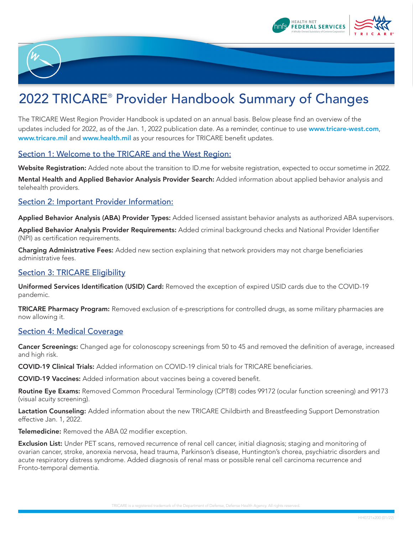



# 2022 TRICARE<sup>®</sup> Provider Handbook Summary of Changes

The TRICARE West Region Provider Handbook is updated on an annual basis. Below please find an overview of the updates included for 2022, as of the Jan. 1, 2022 publication date. As a reminder, continue to use [www.tricare-west.com](https://www.tricare-west.com), [www.tricare.mil](https://www.tricare.mil) and [www.health.mil](https://www.health.mil) as your resources for TRICARE benefit updates.

## Section 1: Welcome to the TRICARE and the West Region:

Website Registration: Added note about the transition to ID.me for website registration, expected to occur sometime in 2022. Mental Health and Applied Behavior Analysis Provider Search: Added information about applied behavior analysis and telehealth providers.

## Section 2: Important Provider Information:

Applied Behavior Analysis (ABA) Provider Types: Added licensed assistant behavior analysts as authorized ABA supervisors.

Applied Behavior Analysis Provider Requirements: Added criminal background checks and National Provider Identifier (NPI) as certification requirements.

Charging Administrative Fees: Added new section explaining that network providers may not charge beneficiaries administrative fees.

## Section 3: TRICARE Eligibility

Uniformed Services Identification (USID) Card: Removed the exception of expired USID cards due to the COVID-19 pandemic.

TRICARE Pharmacy Program: Removed exclusion of e-prescriptions for controlled drugs, as some military pharmacies are now allowing it.

#### Section 4: Medical Coverage

Cancer Screenings: Changed age for colonoscopy screenings from 50 to 45 and removed the definition of average, increased and high risk.

COVID-19 Clinical Trials: Added information on COVID-19 clinical trials for TRICARE beneficiaries.

COVID-19 Vaccines: Added information about vaccines being a covered benefit.

Routine Eye Exams: Removed Common Procedural Terminology (CPT®) codes 99172 (ocular function screening) and 99173 (visual acuity screening).

Lactation Counseling: Added information about the new TRICARE Childbirth and Breastfeeding Support Demonstration effective Jan. 1, 2022.

Telemedicine: Removed the ABA 02 modifier exception.

Exclusion List: Under PET scans, removed recurrence of renal cell cancer, initial diagnosis; staging and monitoring of ovarian cancer, stroke, anorexia nervosa, head trauma, Parkinson's disease, Huntington's chorea, psychiatric disorders and acute respiratory distress syndrome. Added diagnosis of renal mass or possible renal cell carcinoma recurrence and Fronto-temporal dementia.